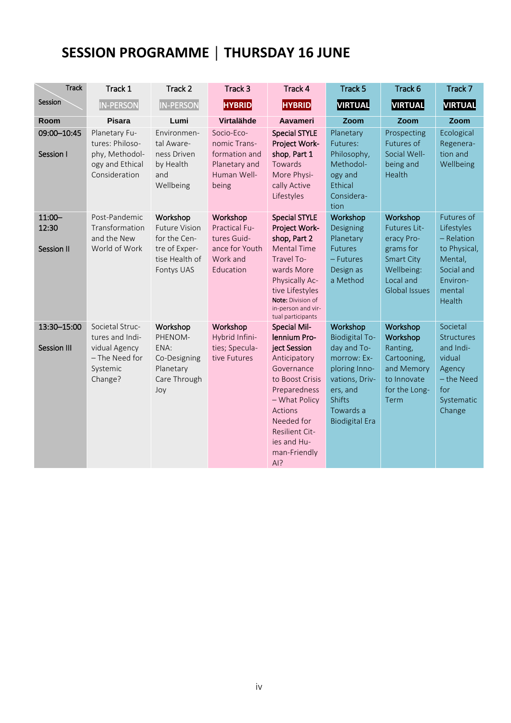## **SESSION PROGRAMME │ THURSDAY 16 JUNE**

| <b>Track</b>                            | Track 1                                                                                      | Track 2                                                                                           | Track 3                                                                              | Track 4                                                                                                                                                                                                                       | Track 5                                                                                                                                                        | Track 6                                                                                                                     | Track 7                                                                                                           |
|-----------------------------------------|----------------------------------------------------------------------------------------------|---------------------------------------------------------------------------------------------------|--------------------------------------------------------------------------------------|-------------------------------------------------------------------------------------------------------------------------------------------------------------------------------------------------------------------------------|----------------------------------------------------------------------------------------------------------------------------------------------------------------|-----------------------------------------------------------------------------------------------------------------------------|-------------------------------------------------------------------------------------------------------------------|
| Session                                 | <b>IN-PERSON</b>                                                                             | <b>IN-PERSON</b>                                                                                  | <b>HYBRID</b>                                                                        | <b>HYBRID</b>                                                                                                                                                                                                                 | VIRTUAL                                                                                                                                                        | VIRTUAL                                                                                                                     | <b>VIRTUAL</b>                                                                                                    |
| Room                                    | <b>Pisara</b>                                                                                | Lumi                                                                                              | Virtalähde                                                                           | <b>Aavameri</b>                                                                                                                                                                                                               | Zoom                                                                                                                                                           | Zoom                                                                                                                        | Zoom                                                                                                              |
| 09:00-10:45<br>Session I                | Planetary Fu-<br>tures: Philoso-<br>phy, Methodol-<br>ogy and Ethical<br>Consideration       | Environmen-<br>tal Aware-<br>ness Driven<br>by Health<br>and<br>Wellbeing                         | Socio-Eco-<br>nomic Trans-<br>formation and<br>Planetary and<br>Human Well-<br>being | <b>Special STYLE</b><br>Project Work-<br>shop, Part 1<br>Towards<br>More Physi-<br>cally Active<br>Lifestyles                                                                                                                 | Planetary<br>Futures:<br>Philosophy,<br>Methodol-<br>ogy and<br>Ethical<br>Considera-<br>tion                                                                  | Prospecting<br>Futures of<br>Social Well-<br>being and<br>Health                                                            | Ecological<br>Regenera-<br>tion and<br>Wellbeing                                                                  |
| $11:00 -$<br>12:30<br><b>Session II</b> | Post-Pandemic<br>Transformation<br>and the New<br>World of Work                              | Workshop<br><b>Future Vision</b><br>for the Cen-<br>tre of Exper-<br>tise Health of<br>Fontys UAS | Workshop<br>Practical Fu-<br>tures Guid-<br>ance for Youth<br>Work and<br>Education  | <b>Special STYLE</b><br>Project Work-<br>shop, Part 2<br><b>Mental Time</b><br>Travel To-<br>wards More<br>Physically Ac-<br>tive Lifestyles<br>Note: Division of<br>in-person and vir-<br>tual participants                  | Workshop<br>Designing<br>Planetary<br><b>Futures</b><br>- Futures<br>Design as<br>a Method                                                                     | Workshop<br>Futures Lit-<br>eracy Pro-<br>grams for<br><b>Smart City</b><br>Wellbeing:<br>Local and<br><b>Global Issues</b> | Futures of<br>Lifestyles<br>$-$ Relation<br>to Physical,<br>Mental,<br>Social and<br>Environ-<br>mental<br>Health |
| 13:30-15:00<br>Session III              | Societal Struc-<br>tures and Indi-<br>vidual Agency<br>- The Need for<br>Systemic<br>Change? | Workshop<br>PHENOM-<br>ENA:<br>Co-Designing<br>Planetary<br>Care Through<br>Joy                   | Workshop<br>Hybrid Infini-<br>ties; Specula-<br>tive Futures                         | <b>Special Mil-</b><br>lennium Pro-<br>ject Session<br>Anticipatory<br>Governance<br>to Boost Crisis<br>Preparedness<br>- What Policy<br>Actions<br>Needed for<br><b>Resilient Cit-</b><br>ies and Hu-<br>man-Friendly<br>AI? | Workshop<br><b>Biodigital To-</b><br>day and To-<br>morrow: Ex-<br>ploring Inno-<br>vations, Driv-<br>ers, and<br>Shifts<br>Towards a<br><b>Biodigital Era</b> | Workshop<br>Workshop<br>Ranting,<br>Cartooning,<br>and Memory<br>to Innovate<br>for the Long-<br><b>Term</b>                | Societal<br><b>Structures</b><br>and Indi-<br>vidual<br>Agency<br>- the Need<br>for<br>Systematic<br>Change       |